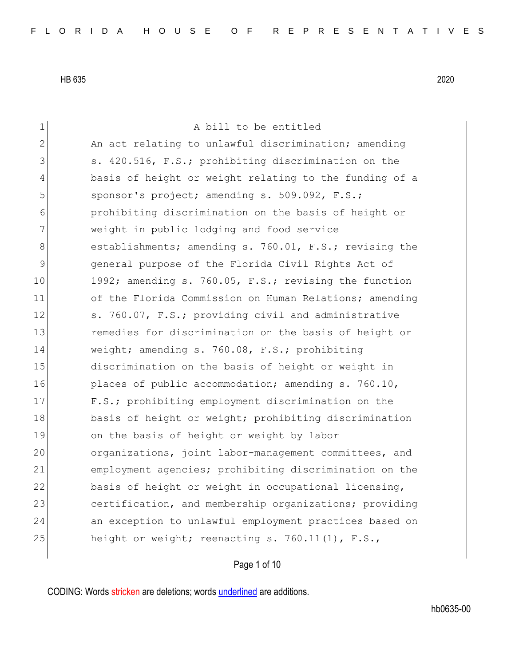| 1            | A bill to be entitled                                  |
|--------------|--------------------------------------------------------|
| $\mathbf{2}$ | An act relating to unlawful discrimination; amending   |
| 3            | s. 420.516, F.S.; prohibiting discrimination on the    |
| 4            | basis of height or weight relating to the funding of a |
| 5            | sponsor's project; amending s. 509.092, F.S.;          |
| 6            | prohibiting discrimination on the basis of height or   |
| 7            | weight in public lodging and food service              |
| 8            | establishments; amending s. 760.01, F.S.; revising the |
| $\mathsf 9$  | general purpose of the Florida Civil Rights Act of     |
| 10           | 1992; amending s. 760.05, F.S.; revising the function  |
| 11           | of the Florida Commission on Human Relations; amending |
| 12           | s. 760.07, F.S.; providing civil and administrative    |
| 13           | remedies for discrimination on the basis of height or  |
| 14           | weight; amending s. 760.08, F.S.; prohibiting          |
| 15           | discrimination on the basis of height or weight in     |
| 16           | places of public accommodation; amending s. 760.10,    |
| 17           | F.S.; prohibiting employment discrimination on the     |
| 18           | basis of height or weight; prohibiting discrimination  |
| 19           | on the basis of height or weight by labor              |
| 20           | organizations, joint labor-management committees, and  |
| 21           | employment agencies; prohibiting discrimination on the |
| 22           | basis of height or weight in occupational licensing,   |
| 23           | certification, and membership organizations; providing |
| 24           | an exception to unlawful employment practices based on |
| 25           | height or weight; reenacting s. 760.11(1), F.S.,       |
|              |                                                        |

## Page 1 of 10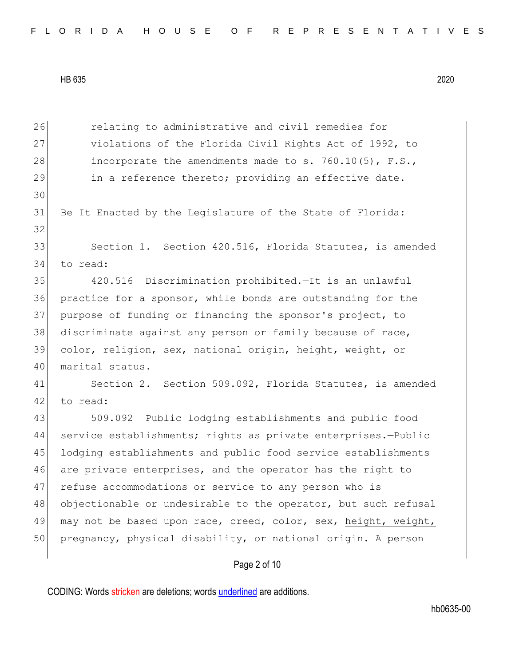Page 2 of 10 26 **relating to administrative and civil remedies for** 27 violations of the Florida Civil Rights Act of 1992, to 28 incorporate the amendments made to s. 760.10(5), F.S., 29 in a reference thereto; providing an effective date. 30 31 Be It Enacted by the Legislature of the State of Florida: 32 33 Section 1. Section 420.516, Florida Statutes, is amended 34 to read: 35 420.516 Discrimination prohibited.—It is an unlawful 36 practice for a sponsor, while bonds are outstanding for the 37 purpose of funding or financing the sponsor's project, to 38 discriminate against any person or family because of race, 39 color, religion, sex, national origin, height, weight, or 40 marital status. 41 Section 2. Section 509.092, Florida Statutes, is amended 42 to read: 43 509.092 Public lodging establishments and public food 44 service establishments; rights as private enterprises.—Public 45 lodging establishments and public food service establishments 46 are private enterprises, and the operator has the right to 47 refuse accommodations or service to any person who is 48 objectionable or undesirable to the operator, but such refusal 49 may not be based upon race, creed, color, sex, height, weight, 50 pregnancy, physical disability, or national origin. A person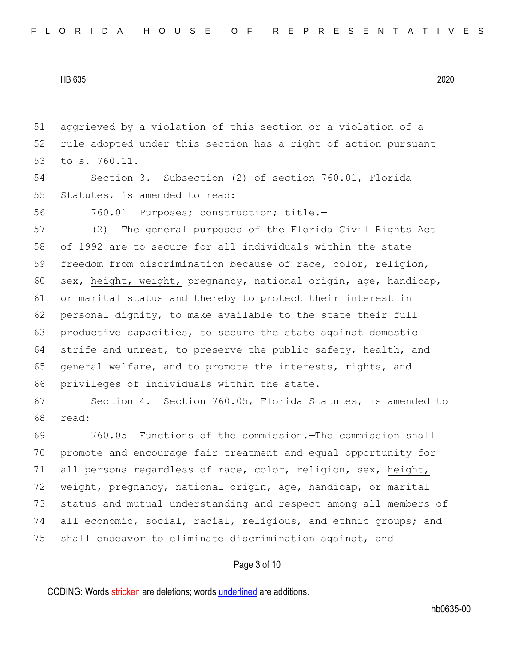51 aggrieved by a violation of this section or a violation of a 52 rule adopted under this section has a right of action pursuant 53 to s. 760.11.

54 Section 3. Subsection (2) of section 760.01, Florida 55 Statutes, is amended to read:

56 760.01 Purposes; construction; title.-

57 (2) The general purposes of the Florida Civil Rights Act 58 of 1992 are to secure for all individuals within the state 59 freedom from discrimination because of race, color, religion, 60 sex, height, weight, pregnancy, national origin, age, handicap, 61 or marital status and thereby to protect their interest in 62 personal dignity, to make available to the state their full 63 productive capacities, to secure the state against domestic 64 strife and unrest, to preserve the public safety, health, and 65 general welfare, and to promote the interests, rights, and 66 privileges of individuals within the state.

67 Section 4. Section 760.05, Florida Statutes, is amended to 68 read:

 760.05 Functions of the commission.—The commission shall promote and encourage fair treatment and equal opportunity for all persons regardless of race, color, religion, sex, height, 72 weight, pregnancy, national origin, age, handicap, or marital status and mutual understanding and respect among all members of all economic, social, racial, religious, and ethnic groups; and 75 shall endeavor to eliminate discrimination against, and

Page 3 of 10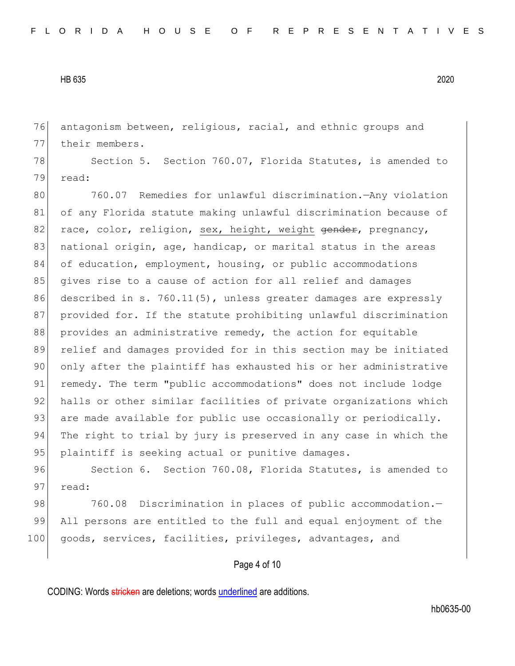76 antagonism between, religious, racial, and ethnic groups and 77 their members.

78 Section 5. Section 760.07, Florida Statutes, is amended to 79 read:

80 760.07 Remedies for unlawful discrimination.—Any violation 81 of any Florida statute making unlawful discrimination because of 82 race, color, religion, sex, height, weight gender, pregnancy, 83 national origin, age, handicap, or marital status in the areas 84 of education, employment, housing, or public accommodations 85 gives rise to a cause of action for all relief and damages 86 described in s. 760.11(5), unless greater damages are expressly 87 provided for. If the statute prohibiting unlawful discrimination 88 provides an administrative remedy, the action for equitable 89 relief and damages provided for in this section may be initiated 90 only after the plaintiff has exhausted his or her administrative 91 remedy. The term "public accommodations" does not include lodge 92 halls or other similar facilities of private organizations which 93 are made available for public use occasionally or periodically. 94 The right to trial by jury is preserved in any case in which the 95 plaintiff is seeking actual or punitive damages.

96 Section 6. Section 760.08, Florida Statutes, is amended to 97 read:

98 760.08 Discrimination in places of public accommodation.-99 All persons are entitled to the full and equal enjoyment of the 100 goods, services, facilities, privileges, advantages, and

Page 4 of 10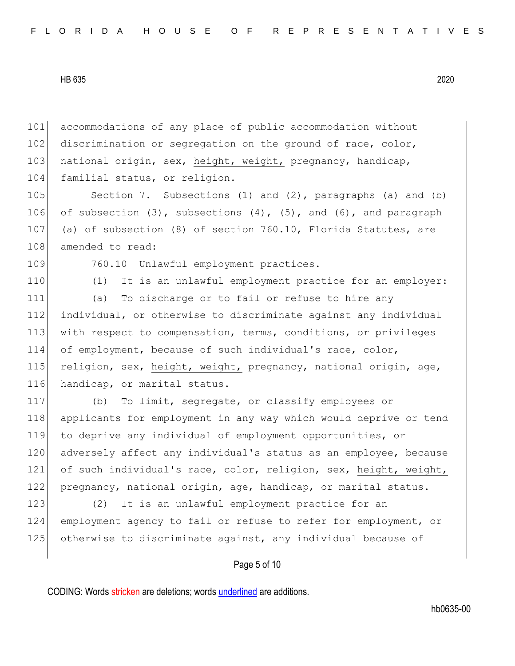101 accommodations of any place of public accommodation without 102 discrimination or segregation on the ground of race, color, 103 national origin, sex, height, weight, pregnancy, handicap, 104 familial status, or religion.

105 Section 7. Subsections (1) and (2), paragraphs (a) and (b) 106 of subsection  $(3)$ , subsections  $(4)$ ,  $(5)$ , and  $(6)$ , and paragraph 107 (a) of subsection (8) of section 760.10, Florida Statutes, are 108 amended to read:

109 760.10 Unlawful employment practices.-

110 (1) It is an unlawful employment practice for an employer:

 (a) To discharge or to fail or refuse to hire any individual, or otherwise to discriminate against any individual with respect to compensation, terms, conditions, or privileges of employment, because of such individual's race, color, 115 religion, sex, height, weight, pregnancy, national origin, age, 116 handicap, or marital status.

117 (b) To limit, segregate, or classify employees or 118 applicants for employment in any way which would deprive or tend 119 to deprive any individual of employment opportunities, or 120 adversely affect any individual's status as an employee, because 121 of such individual's race, color, religion, sex, height, weight, 122 pregnancy, national origin, age, handicap, or marital status.

123 (2) It is an unlawful employment practice for an 124 employment agency to fail or refuse to refer for employment, or 125 otherwise to discriminate against, any individual because of

## Page 5 of 10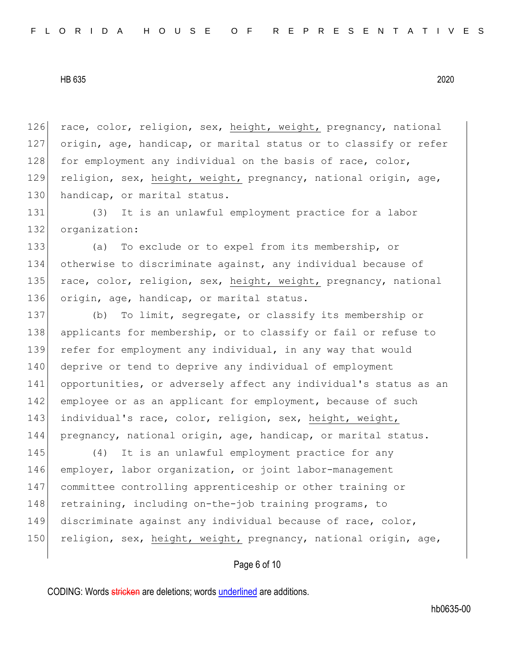126 race, color, religion, sex, height, weight, pregnancy, national 127 origin, age, handicap, or marital status or to classify or refer 128 for employment any individual on the basis of race, color, 129 religion, sex, height, weight, pregnancy, national origin, age, 130 handicap, or marital status.

131 (3) It is an unlawful employment practice for a labor 132 organization:

133 (a) To exclude or to expel from its membership, or 134 otherwise to discriminate against, any individual because of 135 race, color, religion, sex, height, weight, pregnancy, national 136 origin, age, handicap, or marital status.

 (b) To limit, segregate, or classify its membership or 138 applicants for membership, or to classify or fail or refuse to 139 refer for employment any individual, in any way that would deprive or tend to deprive any individual of employment opportunities, or adversely affect any individual's status as an 142 employee or as an applicant for employment, because of such individual's race, color, religion, sex, height, weight, pregnancy, national origin, age, handicap, or marital status.

 (4) It is an unlawful employment practice for any employer, labor organization, or joint labor-management committee controlling apprenticeship or other training or 148 retraining, including on-the-job training programs, to discriminate against any individual because of race, color, 150 religion, sex, height, weight, pregnancy, national origin, age,

Page 6 of 10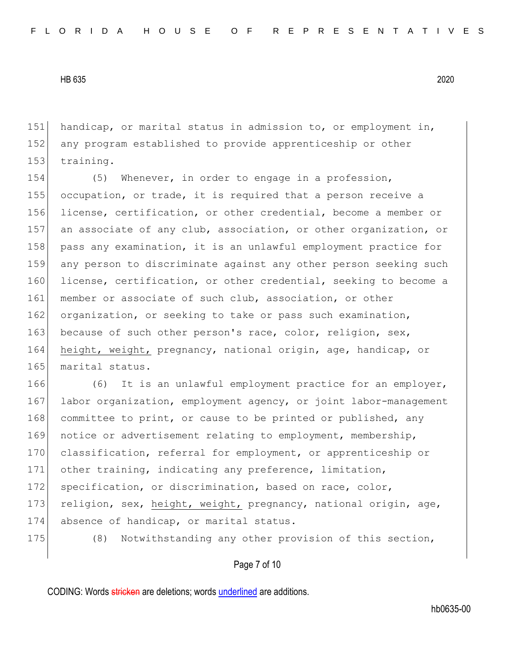151 handicap, or marital status in admission to, or employment in, 152 any program established to provide apprenticeship or other 153 training.

154 (5) Whenever, in order to engage in a profession, 155 occupation, or trade, it is required that a person receive a 156 license, certification, or other credential, become a member or 157 an associate of any club, association, or other organization, or 158 pass any examination, it is an unlawful employment practice for 159 any person to discriminate against any other person seeking such 160 license, certification, or other credential, seeking to become a 161 member or associate of such club, association, or other 162 organization, or seeking to take or pass such examination, 163 because of such other person's race, color, religion, sex, 164 height, weight, pregnancy, national origin, age, handicap, or 165 marital status.

166 (6) It is an unlawful employment practice for an employer, 167 labor organization, employment agency, or joint labor-management 168 committee to print, or cause to be printed or published, any 169 notice or advertisement relating to employment, membership, 170 classification, referral for employment, or apprenticeship or 171 other training, indicating any preference, limitation, 172 specification, or discrimination, based on race, color, 173 religion, sex, height, weight, pregnancy, national origin, age, 174 absence of handicap, or marital status.

175 (8) Notwithstanding any other provision of this section,

## Page 7 of 10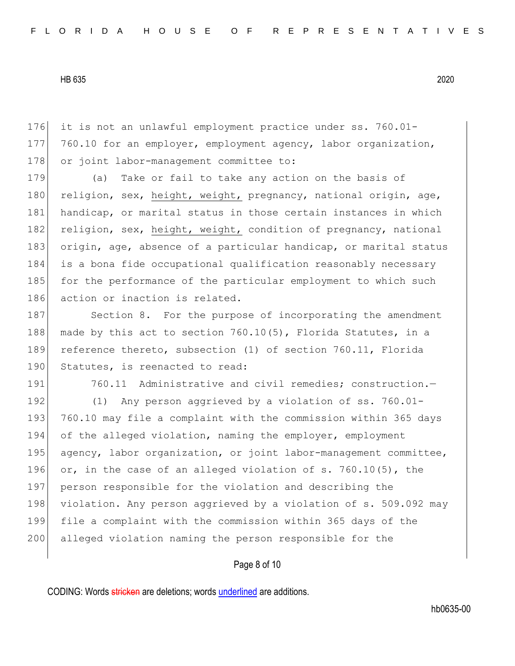176 it is not an unlawful employment practice under ss. 760.01- 177 760.10 for an employer, employment agency, labor organization, 178 or joint labor-management committee to:

179 (a) Take or fail to take any action on the basis of 180 religion, sex, height, weight, pregnancy, national origin, age, 181 handicap, or marital status in those certain instances in which 182 religion, sex, height, weight, condition of pregnancy, national 183 origin, age, absence of a particular handicap, or marital status 184 is a bona fide occupational qualification reasonably necessary 185 for the performance of the particular employment to which such 186 action or inaction is related.

187 Section 8. For the purpose of incorporating the amendment 188 made by this act to section  $760.10(5)$ , Florida Statutes, in a 189 reference thereto, subsection (1) of section 760.11, Florida 190 Statutes, is reenacted to read:

191 760.11 Administrative and civil remedies; construction.-192 (1) Any person aggrieved by a violation of ss. 760.01-193 760.10 may file a complaint with the commission within 365 days 194 of the alleged violation, naming the employer, employment 195 agency, labor organization, or joint labor-management committee, 196 or, in the case of an alleged violation of s.  $760.10(5)$ , the 197 person responsible for the violation and describing the 198 violation. Any person aggrieved by a violation of s. 509.092 may 199 file a complaint with the commission within 365 days of the 200 alleged violation naming the person responsible for the

Page 8 of 10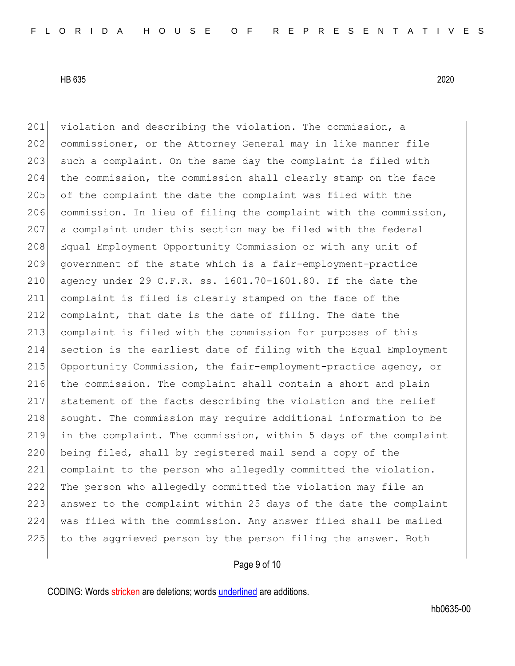201 violation and describing the violation. The commission, a 202 commissioner, or the Attorney General may in like manner file 203 such a complaint. On the same day the complaint is filed with 204 the commission, the commission shall clearly stamp on the face 205 of the complaint the date the complaint was filed with the 206 commission. In lieu of filing the complaint with the commission, 207 a complaint under this section may be filed with the federal 208 Equal Employment Opportunity Commission or with any unit of 209 government of the state which is a fair-employment-practice 210 agency under 29 C.F.R. ss.  $1601.70-1601.80$ . If the date the 211 complaint is filed is clearly stamped on the face of the 212 complaint, that date is the date of filing. The date the 213 complaint is filed with the commission for purposes of this 214 section is the earliest date of filing with the Equal Employment 215 Opportunity Commission, the fair-employment-practice agency, or 216 the commission. The complaint shall contain a short and plain 217 statement of the facts describing the violation and the relief 218 sought. The commission may require additional information to be 219 in the complaint. The commission, within 5 days of the complaint 220 being filed, shall by registered mail send a copy of the 221 complaint to the person who allegedly committed the violation. 222 The person who allegedly committed the violation may file an 223 answer to the complaint within 25 days of the date the complaint 224 was filed with the commission. Any answer filed shall be mailed 225 to the aggrieved person by the person filing the answer. Both

## Page 9 of 10